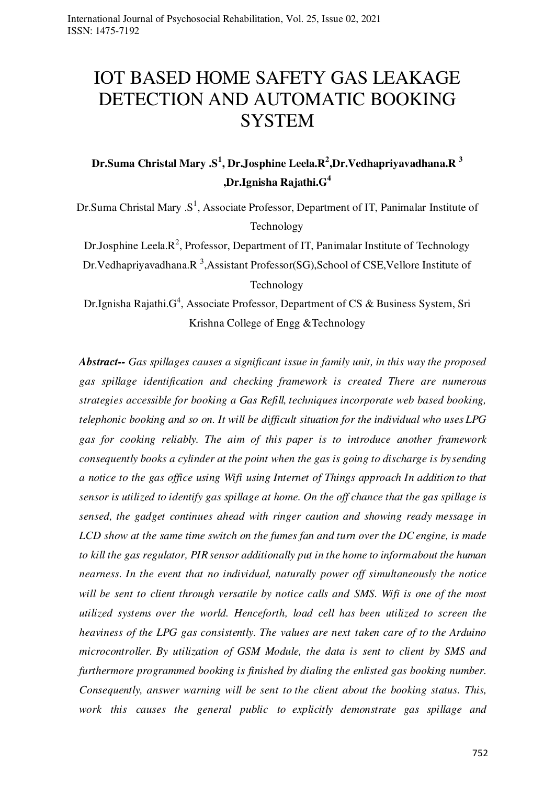# IOT BASED HOME SAFETY GAS LEAKAGE DETECTION AND AUTOMATIC BOOKING **SYSTEM**

## **Dr.Suma Christal Mary .S<sup>1</sup> , Dr.Josphine Leela.R<sup>2</sup> ,Dr.Vedhapriyavadhana.R <sup>3</sup> ,Dr.Ignisha Rajathi.G<sup>4</sup>**

Dr.Suma Christal Mary .S<sup>1</sup>, Associate Professor, Department of IT, Panimalar Institute of Technology

Dr.Josphine Leela. $R^2$ , Professor, Department of IT, Panimalar Institute of Technology Dr.Vedhapriyavadhana.R<sup>3</sup>,Assistant Professor(SG),School of CSE,Vellore Institute of Technology

Dr.Ignisha Rajathi.G<sup>4</sup>, Associate Professor, Department of CS & Business System, Sri Krishna College of Engg &Technology

*Abstract-- Gas spillages causes a significant issue in family unit, in this way the proposed gas spillage identification and checking framework is created There are numerous strategies accessible for booking a Gas Refill, techniques incorporate web based booking, telephonic booking and so on. It will be difficult situation for the individual who uses LPG gas for cooking reliably. The aim of this paper is to introduce another framework consequently books a cylinder at the point when the gas is going to discharge is by sending a notice to the gas office using Wifi using Internet of Things approach In addition to that sensor is utilized to identify gas spillage at home. On the off chance that the gas spillage is sensed, the gadget continues ahead with ringer caution and showing ready message in LCD show at the same time switch on the fumes fan and turn over the DC engine, is made to kill the gas regulator, PIR sensor additionally put in the home to inform about the human nearness. In the event that no individual, naturally power off simultaneously the notice will be sent to client through versatile by notice calls and SMS. Wifi is one of the most utilized systems over the world. Henceforth, load cell has been utilized to screen the heaviness of the LPG gas consistently. The values are next taken care of to the Arduino microcontroller. By utilization of GSM Module, the data is sent to client by SMS and furthermore programmed booking is finished by dialing the enlisted gas booking number. Consequently, answer warning will be sent to the client about the booking status. This, work this causes the general public to explicitly demonstrate gas spillage and*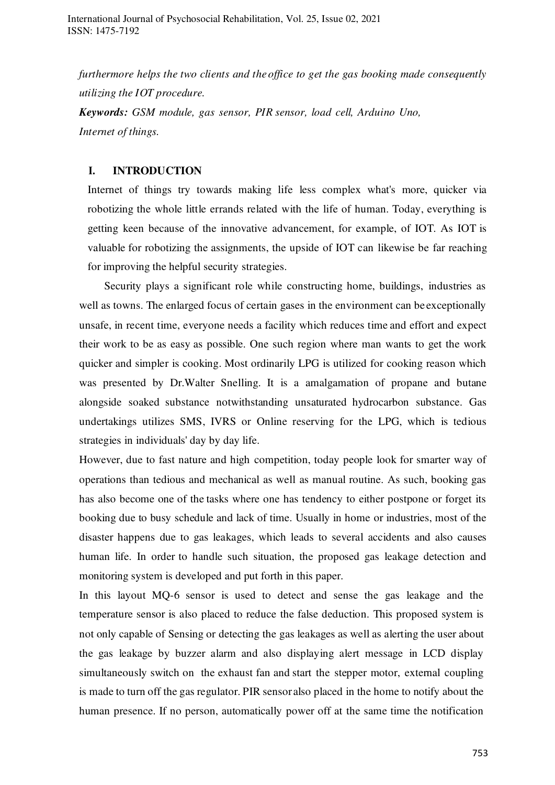*furthermore helps the two clients and the office to get the gas booking made consequently utilizing the IOT procedure.* 

*Keywords: GSM module, gas sensor, PIR sensor, load cell, Arduino Uno, Internet of things.* 

#### **I. INTRODUCTION**

Internet of things try towards making life less complex what's more, quicker via robotizing the whole little errands related with the life of human. Today, everything is getting keen because of the innovative advancement, for example, of IOT. As IOT is valuable for robotizing the assignments, the upside of IOT can likewise be far reaching for improving the helpful security strategies.

Security plays a significant role while constructing home, buildings, industries as well as towns. The enlarged focus of certain gases in the environment can be exceptionally unsafe, in recent time, everyone needs a facility which reduces time and effort and expect their work to be as easy as possible. One such region where man wants to get the work quicker and simpler is cooking. Most ordinarily LPG is utilized for cooking reason which was presented by Dr.Walter Snelling. It is a amalgamation of propane and butane alongside soaked substance notwithstanding unsaturated hydrocarbon substance. Gas undertakings utilizes SMS, IVRS or Online reserving for the LPG, which is tedious strategies in individuals' day by day life.

However, due to fast nature and high competition, today people look for smarter way of operations than tedious and mechanical as well as manual routine. As such, booking gas has also become one of the tasks where one has tendency to either postpone or forget its booking due to busy schedule and lack of time. Usually in home or industries, most of the disaster happens due to gas leakages, which leads to several accidents and also causes human life. In order to handle such situation, the proposed gas leakage detection and monitoring system is developed and put forth in this paper.

In this layout MQ-6 sensor is used to detect and sense the gas leakage and the temperature sensor is also placed to reduce the false deduction. This proposed system is not only capable of Sensing or detecting the gas leakages as well as alerting the user about the gas leakage by buzzer alarm and also displaying alert message in LCD display simultaneously switch on the exhaust fan and start the stepper motor, external coupling is made to turn off the gas regulator. PIR sensor also placed in the home to notify about the human presence. If no person, automatically power off at the same time the notification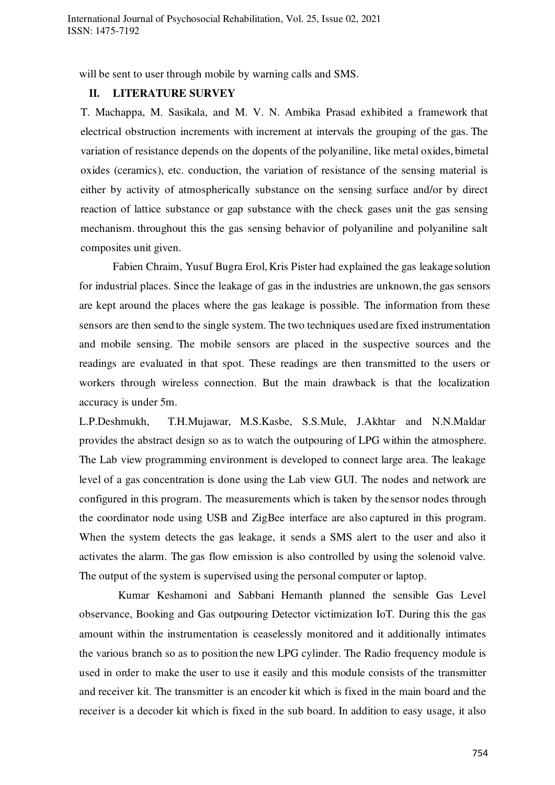will be sent to user through mobile by warning calls and SMS.

#### **II. LITERATURE SURVEY**

T. Machappa, M. Sasikala, and M. V. N. Ambika Prasad exhibited a framework that electrical obstruction increments with increment at intervals the grouping of the gas. The variation of resistance depends on the dopents of the polyaniline, like metal oxides, bimetal oxides (ceramics), etc. conduction, the variation of resistance of the sensing material is either by activity of atmospherically substance on the sensing surface and/or by direct reaction of lattice substance or gap substance with the check gases unit the gas sensing mechanism. throughout this the gas sensing behavior of polyaniline and polyaniline salt composites unit given.

Fabien Chraim, Yusuf Bugra Erol, Kris Pister had explained the gas leakage solution for industrial places. Since the leakage of gas in the industries are unknown, the gas sensors are kept around the places where the gas leakage is possible. The information from these sensors are then send to the single system. The two techniques used are fixed instrumentation and mobile sensing. The mobile sensors are placed in the suspective sources and the readings are evaluated in that spot. These readings are then transmitted to the users or workers through wireless connection. But the main drawback is that the localization accuracy is under 5m.

L.P.Deshmukh, T.H.Mujawar, M.S.Kasbe, S.S.Mule, J.Akhtar and N.N.Maldar provides the abstract design so as to watch the outpouring of LPG within the atmosphere. The Lab view programming environment is developed to connect large area. The leakage level of a gas concentration is done using the Lab view GUI. The nodes and network are configured in this program. The measurements which is taken by the sensor nodes through the coordinator node using USB and ZigBee interface are also captured in this program. When the system detects the gas leakage, it sends a SMS alert to the user and also it activates the alarm. The gas flow emission is also controlled by using the solenoid valve. The output of the system is supervised using the personal computer or laptop.

Kumar Keshamoni and Sabbani Hemanth planned the sensible Gas Level observance, Booking and Gas outpouring Detector victimization IoT. During this the gas amount within the instrumentation is ceaselessly monitored and it additionally intimates the various branch so as to position the new LPG cylinder. The Radio frequency module is used in order to make the user to use it easily and this module consists of the transmitter and receiver kit. The transmitter is an encoder kit which is fixed in the main board and the receiver is a decoder kit which is fixed in the sub board. In addition to easy usage, it also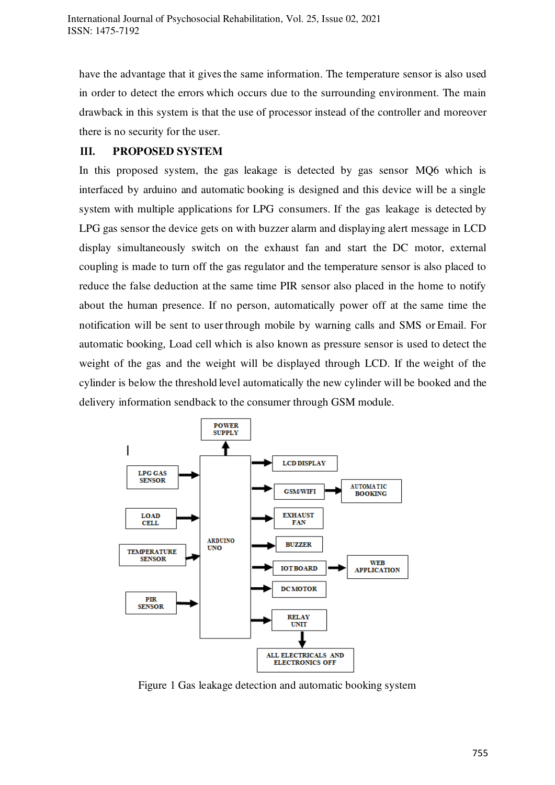have the advantage that it gives the same information. The temperature sensor is also used in order to detect the errors which occurs due to the surrounding environment. The main drawback in this system is that the use of processor instead of the controller and moreover there is no security for the user.

## **III. PROPOSED SYSTEM**

In this proposed system, the gas leakage is detected by gas sensor MQ6 which is interfaced by arduino and automatic booking is designed and this device will be a single system with multiple applications for LPG consumers. If the gas leakage is detected by LPG gas sensor the device gets on with buzzer alarm and displaying alert message in LCD display simultaneously switch on the exhaust fan and start the DC motor, external coupling is made to turn off the gas regulator and the temperature sensor is also placed to reduce the false deduction at the same time PIR sensor also placed in the home to notify about the human presence. If no person, automatically power off at the same time the notification will be sent to user through mobile by warning calls and SMS or Email. For automatic booking, Load cell which is also known as pressure sensor is used to detect the weight of the gas and the weight will be displayed through LCD. If the weight of the cylinder is below the threshold level automatically the new cylinder will be booked and the delivery information sendback to the consumer through GSM module.



Figure 1 Gas leakage detection and automatic booking system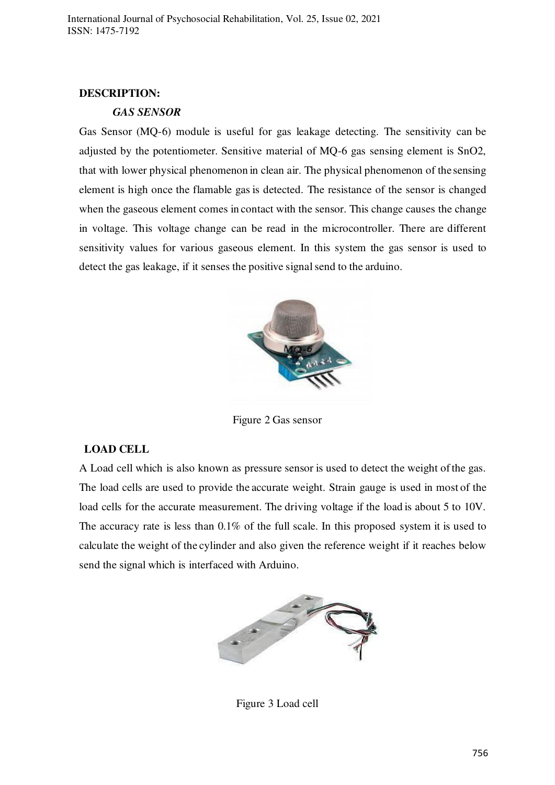#### **DESCRIPTION:**

## *GAS SENSOR*

Gas Sensor (MQ-6) module is useful for gas leakage detecting. The sensitivity can be adjusted by the potentiometer. Sensitive material of MQ-6 gas sensing element is SnO2, that with lower physical phenomenon in clean air. The physical phenomenon of the sensing element is high once the flamable gas is detected. The resistance of the sensor is changed when the gaseous element comes in contact with the sensor. This change causes the change in voltage. This voltage change can be read in the microcontroller. There are different sensitivity values for various gaseous element. In this system the gas sensor is used to detect the gas leakage, if it senses the positive signal send to the arduino.



Figure 2 Gas sensor

## **LOAD CELL**

A Load cell which is also known as pressure sensor is used to detect the weight of the gas. The load cells are used to provide the accurate weight. Strain gauge is used in most of the load cells for the accurate measurement. The driving voltage if the load is about 5 to 10V. The accuracy rate is less than 0.1% of the full scale. In this proposed system it is used to calculate the weight of the cylinder and also given the reference weight if it reaches below send the signal which is interfaced with Arduino.



Figure 3 Load cell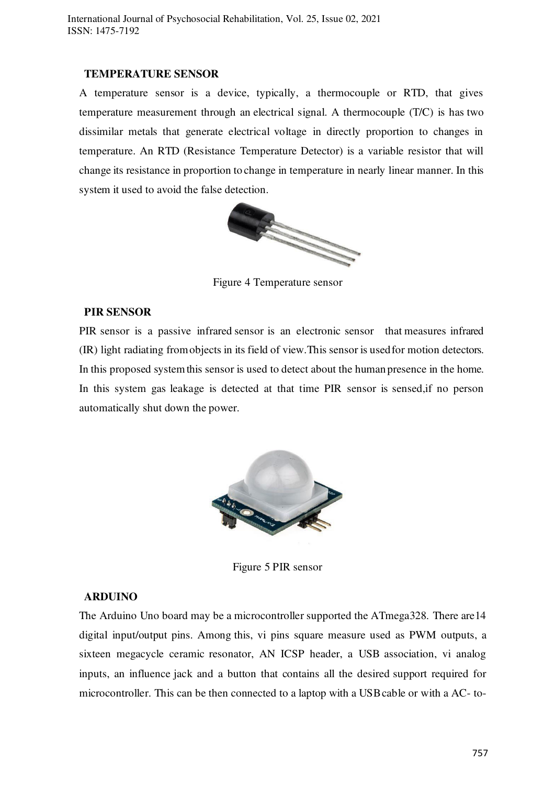#### **TEMPERATURE SENSOR**

A temperature sensor is a device, typically, a thermocouple or RTD, that gives temperature measurement through an electrical signal. A thermocouple (T/C) is has two dissimilar metals that generate electrical voltage in directly proportion to changes in temperature. An RTD (Resistance Temperature Detector) is a variable resistor that will change its resistance in proportion to change in temperature in nearly linear manner. In this system it used to avoid the false detection.



Figure 4 Temperature sensor

#### **PIR SENSOR**

PIR sensor is a passive infrared sensor is an electronic [sensor](https://en.wikipedia.org/wiki/Sensor) that measures [infrared](https://en.wikipedia.org/wiki/Infrared)  (IR) light radiating from objects in its field of view.This sensor is used for motion detectors. In this proposed system this sensor is used to detect about the human presence in the home. In this system gas leakage is detected at that time PIR sensor is sensed,if no person automatically shut down the power.



Figure 5 PIR sensor

#### **ARDUINO**

The Arduino Uno board may be a microcontroller supported the ATmega328. There are14 digital input/output pins. Among this, vi pins square measure used as PWM outputs, a sixteen megacycle ceramic resonator, AN ICSP header, a USB association, vi analog inputs, an influence jack and a button that contains all the desired support required for microcontroller. This can be then connected to a laptop with a USB cable or with a AC- to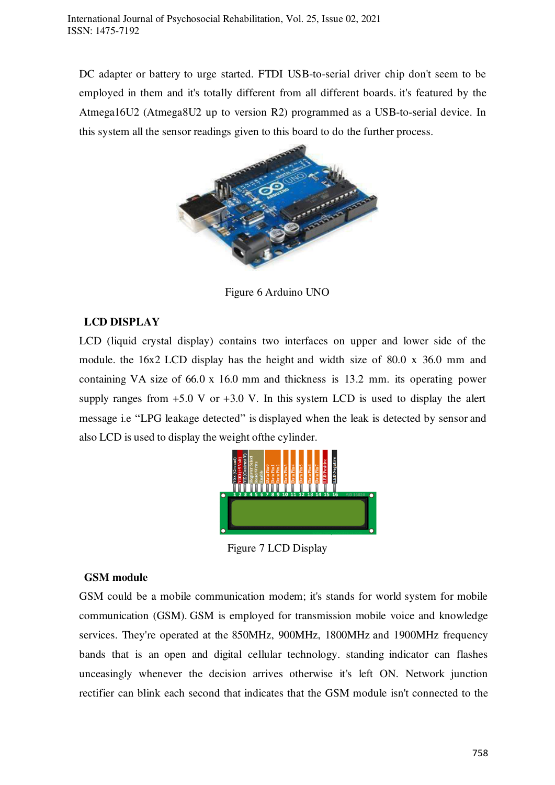DC adapter or battery to urge started. FTDI USB-to-serial driver chip don't seem to be employed in them and it's totally different from all different boards. it's featured by the Atmega16U2 (Atmega8U2 up to version R2) programmed as a USB-to-serial device. In this system all the sensor readings given to this board to do the further process.



Figure 6 Arduino UNO

## **LCD DISPLAY**

LCD (liquid crystal display) contains two interfaces on upper and lower side of the module. the 16x2 LCD display has the height and width size of 80.0 x 36.0 mm and containing VA size of 66.0 x 16.0 mm and thickness is 13.2 mm. its operating power supply ranges from  $+5.0$  V or  $+3.0$  V. In this system LCD is used to display the alert message i.e "LPG leakage detected" is displayed when the leak is detected by sensor and also LCD is used to display the weight of the cylinder.



Figure 7 LCD Display

## **GSM module**

GSM could be a mobile communication modem; it's stands for world system for mobile communication (GSM). GSM is employed for transmission mobile voice and knowledge services. They're operated at the 850MHz, 900MHz, 1800MHz and 1900MHz frequency bands that is an open and digital cellular technology. standing indicator can flashes unceasingly whenever the decision arrives otherwise it's left ON. Network junction rectifier can blink each second that indicates that the GSM module isn't connected to the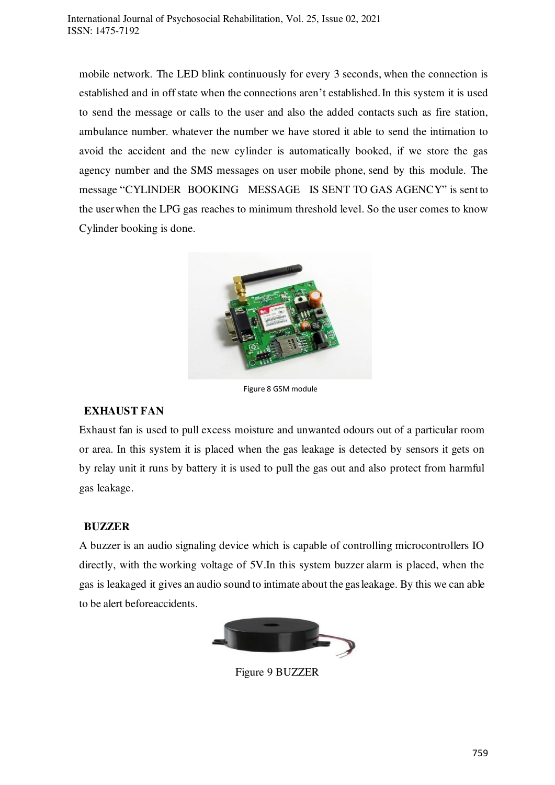mobile network. The LED blink continuously for every 3 seconds, when the connection is established and in off state when the connections aren't established. In this system it is used to send the message or calls to the user and also the added contacts such as fire station, ambulance number. whatever the number we have stored it able to send the intimation to avoid the accident and the new cylinder is automatically booked, if we store the gas agency number and the SMS messages on user mobile phone, send by this module. The message "CYLINDER BOOKING MESSAGE IS SENT TO GAS AGENCY" is sent to the user when the LPG gas reaches to minimum threshold level. So the user comes to know Cylinder booking is done.



Figure 8 GSM module

#### **EXHAUST FAN**

Exhaust fan is used to pull excess moisture and unwanted odours out of a particular room or area. In this system it is placed when the gas leakage is detected by sensors it gets on by relay unit it runs by battery it is used to pull the gas out and also protect from harmful gas leakage.

#### **BUZZER**

A buzzer is an audio signaling device which is capable of controlling microcontrollers IO directly, with the working voltage of 5V.In this system buzzer alarm is placed, when the gas is leakaged it gives an audio sound to intimate about the gas leakage. By this we can able to be alert before<br>accidents.



Figure 9 BUZZER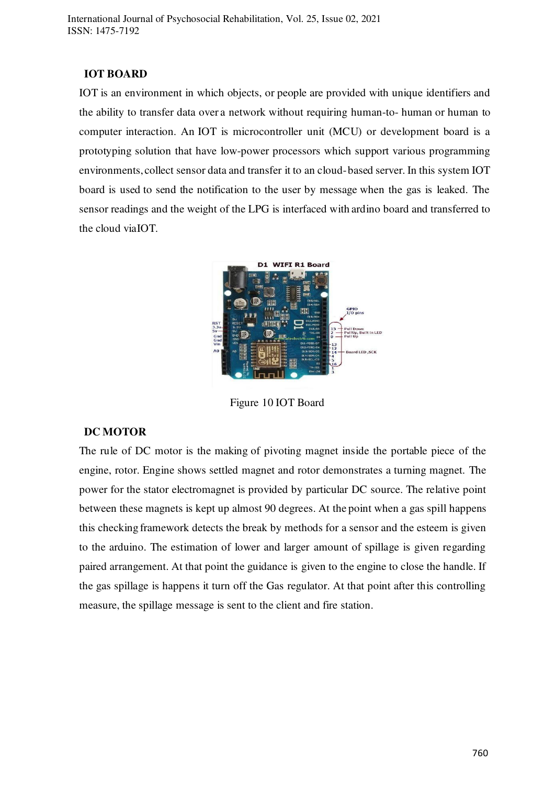International Journal of Psychosocial Rehabilitation, Vol. 25, Issue 02, 2021 ISSN: 1475-7192

#### **IOT BOARD**

IOT is an environment in which objects, or people are provided with unique identifiers and the ability to transfer data over a network without requiring human-to- human or human to computer interaction. An IOT is microcontroller unit (MCU) or development board is a prototyping solution that have low-power processors which support various programming environments, collect sensor data and transfer it to an cloud- based server. In this system IOT board is used to send the notification to the user by message when the gas is leaked. The sensor readings and the weight of the LPG is interfaced with ardino board and transferred to the cloud via IOT.



Figure 10 IOT Board

## **DC MOTOR**

The rule of DC motor is the making of pivoting magnet inside the portable piece of the engine, rotor. Engine shows settled magnet and rotor demonstrates a turning magnet. The power for the stator electromagnet is provided by particular DC source. The relative point between these magnets is kept up almost 90 degrees. At the point when a gas spill happens this checking framework detects the break by methods for a sensor and the esteem is given to the arduino. The estimation of lower and larger amount of spillage is given regarding paired arrangement. At that point the guidance is given to the engine to close the handle. If the gas spillage is happens it turn off the Gas regulator. At that point after this controlling measure, the spillage message is sent to the client and fire station.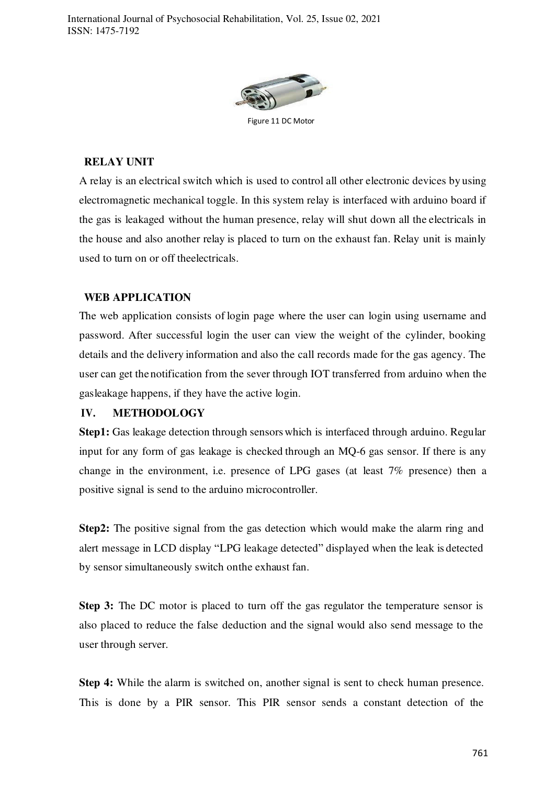International Journal of Psychosocial Rehabilitation, Vol. 25, Issue 02, 2021 ISSN: 1475-7192



Figure 11 DC Motor

#### **RELAY UNIT**

A relay is an electrical switch which is used to control all other electronic devices by using electromagnetic mechanical toggle. In this system relay is interfaced with arduino board if the gas is leakaged without the human presence, relay will shut down all the electricals in the house and also another relay is placed to turn on the exhaust fan. Relay unit is mainly used to turn on or off the electricals.

#### **WEB APPLICATION**

The web application consists of login page where the user can login using username and password. After successful login the user can view the weight of the cylinder, booking details and the delivery information and also the call records made for the gas agency. The user can get the notification from the sever through IOT transferred from arduino when the gas leakage happens, if they have the active login.

#### **IV. METHODOLOGY**

**Step1:** Gas leakage detection through sensors which is interfaced through arduino. Regular input for any form of gas leakage is checked through an MQ-6 gas sensor. If there is any change in the environment, i.e. presence of LPG gases (at least 7% presence) then a positive signal is send to the arduino microcontroller.

**Step2:** The positive signal from the gas detection which would make the alarm ring and alert message in LCD display "LPG leakage detected" displayed when the leak is detected by sensor simultaneously switch on the exhaust fan.

**Step 3:** The DC motor is placed to turn off the gas regulator the temperature sensor is also placed to reduce the false deduction and the signal would also send message to the user through server.

**Step 4:** While the alarm is switched on, another signal is sent to check human presence. This is done by a PIR sensor. This PIR sensor sends a constant detection of the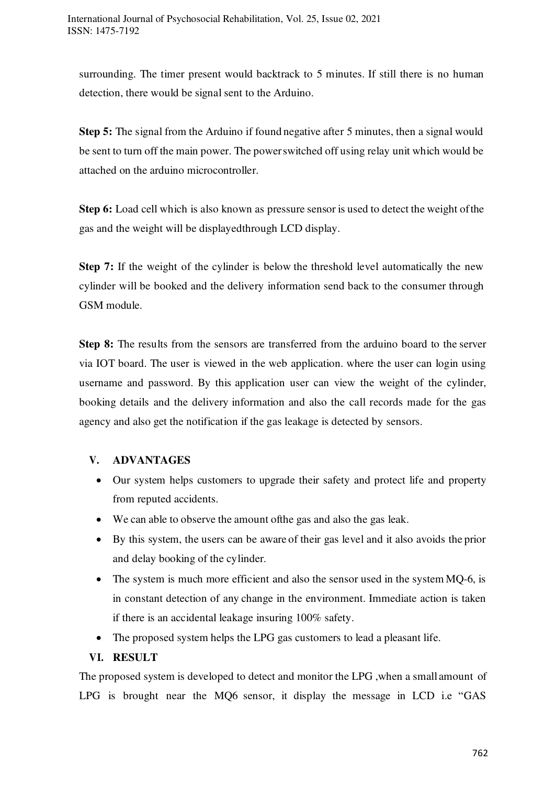surrounding. The timer present would backtrack to 5 minutes. If still there is no human detection, there would be signal sent to the Arduino.

**Step 5:** The signal from the Arduino if found negative after 5 minutes, then a signal would be sent to turn off the main power. The power switched off using relay unit which would be attached on the arduino microcontroller.

**Step 6:** Load cell which is also known as pressure sensor is used to detect the weight of the gas and the weight will be displayed through LCD display.

**Step 7:** If the weight of the cylinder is below the threshold level automatically the new cylinder will be booked and the delivery information send back to the consumer through GSM module.

**Step 8:** The results from the sensors are transferred from the arduino board to the server via IOT board. The user is viewed in the web application. where the user can login using username and password. By this application user can view the weight of the cylinder, booking details and the delivery information and also the call records made for the gas agency and also get the notification if the gas leakage is detected by sensors.

## **V. ADVANTAGES**

- Our system helps customers to upgrade their safety and protect life and property from reputed accidents.
- We can able to observe the amount of the gas and also the gas leak.
- By this system, the users can be aware of their gas level and it also avoids the prior and delay booking of the cylinder.
- The system is much more efficient and also the sensor used in the system MQ-6, is in constant detection of any change in the environment. Immediate action is taken if there is an accidental leakage insuring 100% safety.
- The proposed system helps the LPG gas customers to lead a pleasant life.

## **VI. RESULT**

The proposed system is developed to detect and monitor the LPG ,when a small amount of LPG is brought near the MQ6 sensor, it display the message in LCD i.e "GAS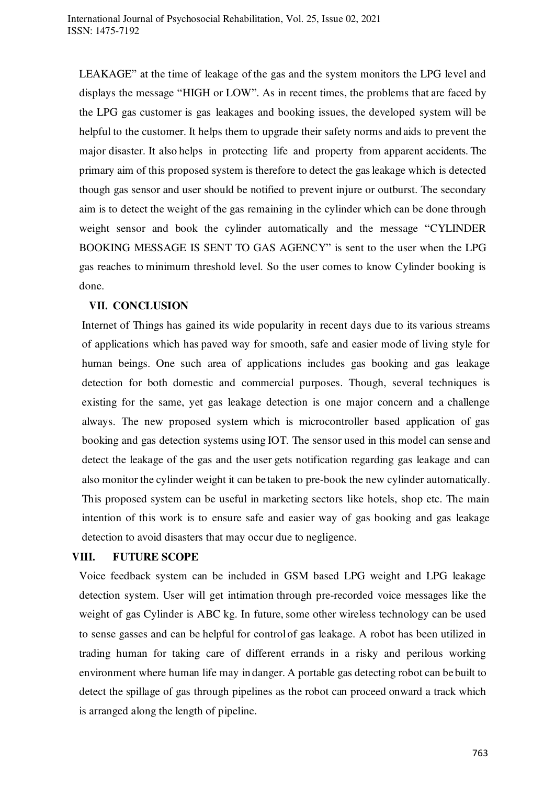LEAKAGE" at the time of leakage of the gas and the system monitors the LPG level and displays the message "HIGH or LOW". As in recent times, the problems that are faced by the LPG gas customer is gas leakages and booking issues, the developed system will be helpful to the customer. It helps them to upgrade their safety norms and aids to prevent the major disaster. It also helps in protecting life and property from apparent accidents. The primary aim of this proposed system is therefore to detect the gas leakage which is detected though gas sensor and user should be notified to prevent injure or outburst. The secondary aim is to detect the weight of the gas remaining in the cylinder which can be done through weight sensor and book the cylinder automatically and the message "CYLINDER BOOKING MESSAGE IS SENT TO GAS AGENCY" is sent to the user when the LPG gas reaches to minimum threshold level. So the user comes to know Cylinder booking is done.

#### **VII. CONCLUSION**

Internet of Things has gained its wide popularity in recent days due to its various streams of applications which has paved way for smooth, safe and easier mode of living style for human beings. One such area of applications includes gas booking and gas leakage detection for both domestic and commercial purposes. Though, several techniques is existing for the same, yet gas leakage detection is one major concern and a challenge always. The new proposed system which is microcontroller based application of gas booking and gas detection systems using IOT. The sensor used in this model can sense and detect the leakage of the gas and the user gets notification regarding gas leakage and can also monitor the cylinder weight it can be taken to pre-book the new cylinder automatically. This proposed system can be useful in marketing sectors like hotels, shop etc. The main intention of this work is to ensure safe and easier way of gas booking and gas leakage detection to avoid disasters that may occur due to negligence.

## **VIII. FUTURE SCOPE**

Voice feedback system can be included in GSM based LPG weight and LPG leakage detection system. User will get intimation through pre-recorded voice messages like the weight of gas Cylinder is ABC kg. In future, some other wireless technology can be used to sense gasses and can be helpful for control of gas leakage. A robot has been utilized in trading human for taking care of different errands in a risky and perilous working environment where human life may in danger. A portable gas detecting robot can be built to detect the spillage of gas through pipelines as the robot can proceed onward a track which is arranged along the length of pipeline.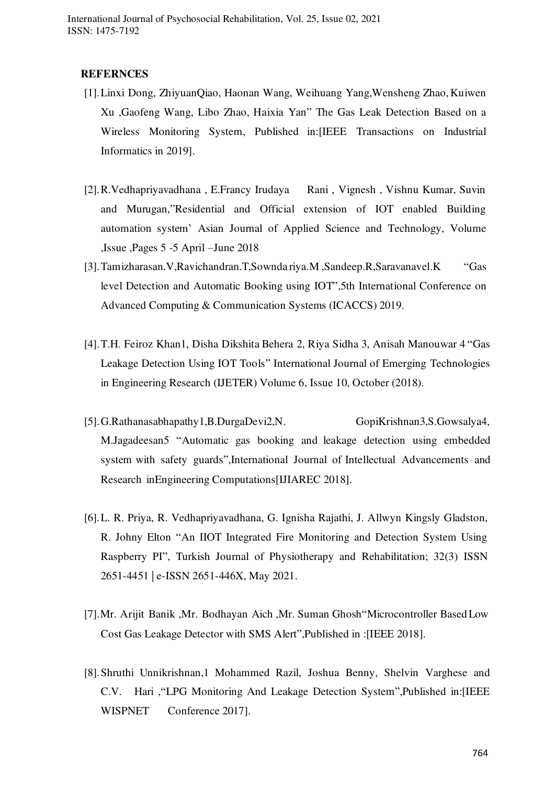International Journal of Psychosocial Rehabilitation, Vol. 25, Issue 02, 2021 ISSN: 1475-7192

#### **REFERNCES**

- [1].Linxi Dong, ZhiyuanQiao, Haonan Wang, Weihuang Yang,Wensheng Zhao, Kuiwen Xu ,Gaofeng Wang, Libo Zhao, Haixia Yan" The Gas Leak Detection Based on a Wireless Monitoring System, Published in:[IEEE Transactions on Industrial Informatics in 2019].
- [2].R.Vedhapriyavadhana , E.Francy Irudaya Rani , Vignesh , Vishnu Kumar, Suvin and Murugan,"Residential and Official extension of IOT enabled Building automation system' Asian Journal of Applied Science and Technology, Volume ,Issue ,Pages 5 -5 April –June 2018
- [3].Tamizharasan.V,Ravichandran.T,Sownda riya.M ,Sandeep.R,Saravanavel.K "Gas level Detection and Automatic Booking using IOT",5th International Conference on Advanced Computing & Communication Systems (ICACCS) 2019.
- [4].T.H. Feiroz Khan1, Disha Dikshita Behera 2, Riya Sidha 3, Anisah Manouwar 4 "Gas Leakage Detection Using IOT Tools" International Journal of Emerging Technologies in Engineering Research (IJETER) Volume 6, Issue 10, October (2018).
- [5].G.Rathanasabhapathy1,B.DurgaDevi2,N. GopiKrishnan3,S.Gowsalya4, M.Jagadeesan5 "Automatic gas booking and leakage detection using embedded system with safety guards",International Journal of Intellectual Advancements and Research in Engineering Computations[IJIAREC 2018].
- [6].L. R. Priya, R. Vedhapriyavadhana, G. Ignisha Rajathi, J. Allwyn Kingsly Gladston, R. Johny Elton "An IIOT Integrated Fire Monitoring and Detection System Using Raspberry PI", Turkish Journal of Physiotherapy and Rehabilitation; 32(3) ISSN 2651-4451 | e-ISSN 2651-446X, May 2021.
- [7].Mr. Arijit Banik ,Mr. Bodhayan Aich ,Mr. Suman Ghosh"Microcontroller Based Low Cost Gas Leakage Detector with SMS Alert",Published in :[IEEE 2018].
- [8].Shruthi Unnikrishnan,1 Mohammed Razil, Joshua Benny, Shelvin Varghese and C.V. Hari ,"LPG Monitoring And Leakage Detection System",Published in:[IEEE WISPNET Conference 2017].